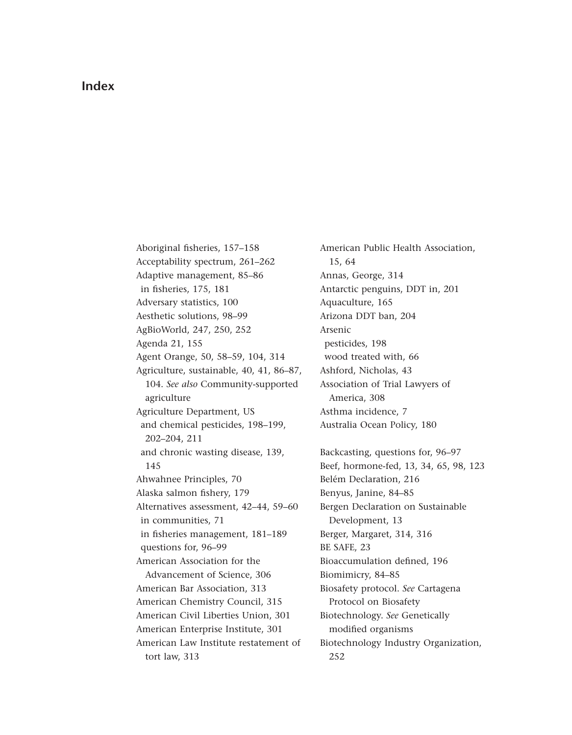## **Index**

Aboriginal fisheries, 157–158 Acceptability spectrum, 261–262 Adaptive management, 85–86 in fisheries, 175, 181 Adversary statistics, 100 Aesthetic solutions, 98–99 AgBioWorld, 247, 250, 252 Agenda 21, 155 Agent Orange, 50, 58–59, 104, 314 [Agriculture, sustainable, 40, 41, 86–87,](#page--1-0) 104. *See also* Community-supported agriculture Agriculture Department, US and chemical pesticides, 198–199, 202–204, 211 and chronic wasting disease, 139, 145 Ahwahnee Principles, 70 Alaska salmon fishery, 179 Alternatives assessment, 42–44, 59–60 in communities, 71 in fisheries management, 181–189 questions for, 96–99 American Association for the Advancement of Science, 306 American Bar Association, 313 American Chemistry Council, 315 American Civil Liberties Union, 301 American Enterprise Institute, 301 American Law Institute restatement of tort law, 313

American Public Health Association, 15, 64 Annas, George, 314 Antarctic penguins, DDT in, 201 Aquaculture, 165 Arizona DDT ban, 204 Arsenic pesticides, 198 wood treated with, 66 Ashford, Nicholas, 43 Association of Trial Lawyers of America, 308 Asthma incidence, 7 Australia Ocean Policy, 180 Backcasting, questions for, 96–97 Beef, hormone-fed, 13, 34, 65, 98, 123 Belém Declaration, 216 Benyus, Janine, 84–85 Bergen Declaration on Sustainable Development, 13 Berger, Margaret, 314, 316 BE SAFE, 23 Bioaccumulation defined, 196 Biomimicry, 84–85 Biosafety protocol. *See* Cartagena Protocol on Biosafety Biotechnology. *See* Genetically modified organisms Biotechnology Industry Organization, 252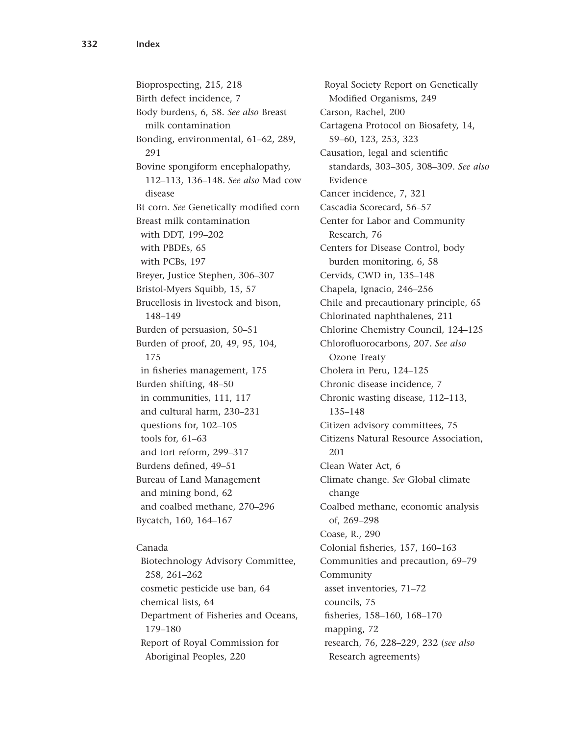Bioprospecting, 215, 218 Birth defect incidence, 7 Body burdens, 6, 58. *See also* Breast milk contamination Bonding, environmental, 61–62, 289, 291 Bovine spongiform encephalopathy, 112–113, 136–148. *See also* Mad cow disease Bt corn. *See* Genetically modified corn Breast milk contamination with DDT, 199–202 with PBDEs, 65 with PCBs, 197 Breyer, Justice Stephen, 306–307 Bristol-Myers Squibb, 15, 57 Brucellosis in livestock and bison, 148–149 Burden of persuasion, 50–51 Burden of proof, 20, 49, 95, 104, 175 in fisheries management, 175 Burden shifting, 48–50 in communities, 111, 117 and cultural harm, 230–231 questions for, 102–105 tools for, 61–63 and tort reform, 299–317 Burdens defined, 49–51 Bureau of Land Management and mining bond, 62 and coalbed methane, 270–296 Bycatch, 160, 164–167

## Canada

Biotechnology Advisory Committee, 258, 261–262 cosmetic pesticide use ban, 64 chemical lists, 64 Department of Fisheries and Oceans, 179–180 Report of Royal Commission for Aboriginal Peoples, 220

Royal Society Report on Genetically Modified Organisms, 249 Carson, Rachel, 200 Cartagena Protocol on Biosafety, 14, 59–60, 123, 253, 323 Causation, legal and scientific standards, 303–305, 308–309. *See also* Evidence Cancer incidence, 7, 321 Cascadia Scorecard, 56–57 Center for Labor and Community Research, 76 Centers for Disease Control, body burden monitoring, 6, 58 Cervids, CWD in, 135–148 Chapela, Ignacio, 246–256 Chile and precautionary principle, 65 Chlorinated naphthalenes, 211 Chlorine Chemistry Council, 124–125 Chlorofluorocarbons, 207. *See also* Ozone Treaty Cholera in Peru, 124–125 Chronic disease incidence, 7 Chronic wasting disease, 112–113, 135–148 Citizen advisory committees, 75 Citizens Natural Resource Association, 201 Clean Water Act, 6 Climate change. *See* Global climate change Coalbed methane, economic analysis of, 269–298 Coase, R., 290 Colonial fisheries, 157, 160–163 Communities and precaution, 69–79 Community asset inventories, 71–72 councils, 75 fisheries, 158–160, 168–170 mapping, 72 research, 76, 228–229, 232 (*see also* Research agreements)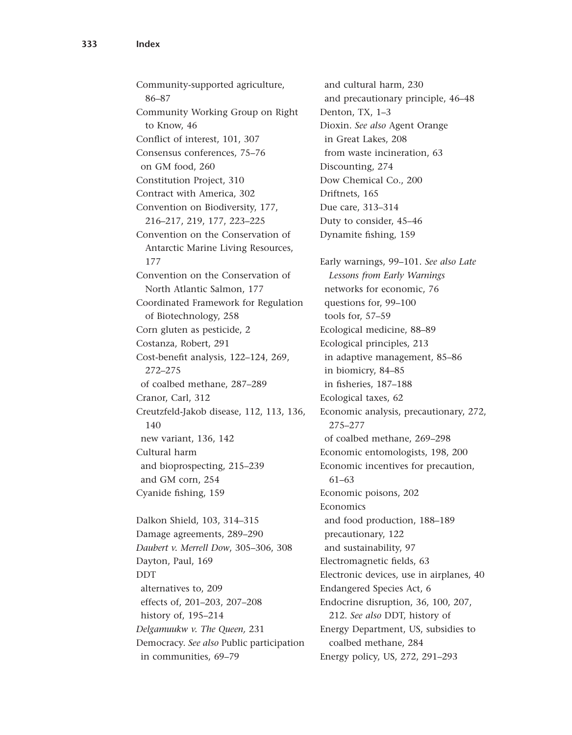Community-supported agriculture, 86–87 Community Working Group on Right to Know, 46 Conflict of interest, 101, 307 Consensus conferences, 75–76 on GM food, 260 Constitution Project, 310 Contract with America, 302 Convention on Biodiversity, 177, 216–217, 219, 177, 223–225 Convention on the Conservation of Antarctic Marine Living Resources, 177 Convention on the Conservation of North Atlantic Salmon, 177 Coordinated Framework for Regulation of Biotechnology, 258 Corn gluten as pesticide, 2 Costanza, Robert, 291 Cost-benefit analysis, 122–124, 269, 272–275 of coalbed methane, 287–289 Cranor, Carl, 312 Creutzfeld-Jakob disease, 112, 113, 136, 140 new variant, 136, 142 Cultural harm and bioprospecting, 215–239 and GM corn, 254 Cyanide fishing, 159

Dalkon Shield, 103, 314–315 Damage agreements, 289–290 *Daubert v. Merrell Dow*, 305–306, 308 Dayton, Paul, 169 DDT alternatives to, 209 effects of, 201–203, 207–208 history of, 195–214 *Delgamuukw v. The Queen,* 231 Democracy. *See also* Public participation in communities, 69–79

and cultural harm, 230 and precautionary principle, 46–48 Denton, TX, 1–3 Dioxin. *See also* Agent Orange in Great Lakes, 208 from waste incineration, 63 Discounting, 274 Dow Chemical Co., 200 Driftnets, 165 Due care, 313–314 Duty to consider, 45–46 Dynamite fishing, 159 Early warnings, 99–101. *See also Late Lessons from Early Warnings* networks for economic, 76 questions for, 99–100 tools for, 57–59 Ecological medicine, 88–89 Ecological principles, 213 in adaptive management, 85–86 in biomicry, 84–85 in fisheries, 187–188 Ecological taxes, 62 Economic analysis, precautionary, 272, 275–277 of coalbed methane, 269–298 Economic entomologists, 198, 200 Economic incentives for precaution, 61–63 Economic poisons, 202 Economics and food production, 188–189 precautionary, 122 and sustainability, 97 Electromagnetic fields, 63 Electronic devices, use in airplanes, 40 Endangered Species Act, 6 Endocrine disruption, 36, 100, 207, 212. *See also* DDT, history of Energy Department, US, subsidies to coalbed methane, 284 Energy policy, US, 272, 291–293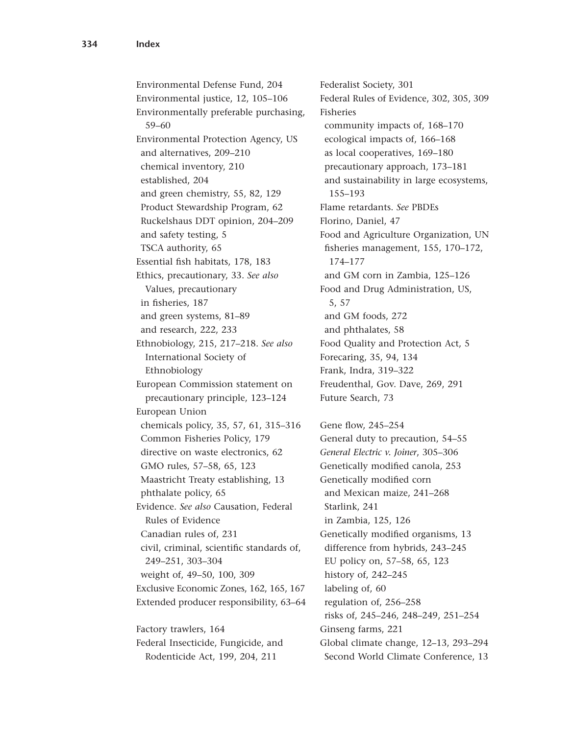Environmental Defense Fund, 204 Environmental justice, 12, 105–106 Environmentally preferable purchasing, 59–60 Environmental Protection Agency, US and alternatives, 209–210 chemical inventory, 210 established, 204 and green chemistry, 55, 82, 129 Product Stewardship Program, 62 Ruckelshaus DDT opinion, 204–209 and safety testing, 5 TSCA authority, 65 Essential fish habitats, 178, 183 Ethics, precautionary, 33. *See also* Values, precautionary in fisheries, 187 and green systems, 81–89 and research, 222, 233 Ethnobiology, 215, 217–218. *See also* International Society of Ethnobiology European Commission statement on precautionary principle, 123–124 European Union chemicals policy, 35, 57, 61, 315–316 Common Fisheries Policy, 179 directive on waste electronics, 62 GMO rules, 57–58, 65, 123 Maastricht Treaty establishing, 13 phthalate policy, 65 Evidence. *See also* Causation, Federal Rules of Evidence Canadian rules of, 231 civil, criminal, scientific standards of, 249–251, 303–304 weight of, 49–50, 100, 309 Exclusive Economic Zones, 162, 165, 167 Extended producer responsibility, 63–64 Factory trawlers, 164 Federal Insecticide, Fungicide, and

Rodenticide Act, 199, 204, 211

Fisheries community impacts of, 168–170 ecological impacts of, 166–168 as local cooperatives, 169–180 precautionary approach, 173–181 and sustainability in large ecosystems, 155–193 Flame retardants. *See* PBDEs Florino, Daniel, 47 Food and Agriculture Organization, UN fisheries management, 155, 170–172, 174–177 and GM corn in Zambia, 125–126 Food and Drug Administration, US, 5, 57 and GM foods, 272 and phthalates, 58 Food Quality and Protection Act, 5 Forecaring, 35, 94, 134 Frank, Indra, 319–322 Freudenthal, Gov. Dave, 269, 291 Future Search, 73 Gene flow, 245–254 General duty to precaution, 54–55 *General Electric v. Joiner*, 305–306 Genetically modified canola, 253 Genetically modified corn and Mexican maize, 241–268 Starlink, 241 in Zambia, 125, 126 Genetically modified organisms, 13 difference from hybrids, 243–245 EU policy on, 57–58, 65, 123 history of, 242–245 labeling of, 60 regulation of, 256–258 risks of, 245–246, 248–249, 251–254 Ginseng farms, 221 Global climate change, 12–13, 293–294 Second World Climate Conference, 13

Federalist Society, 301

Federal Rules of Evidence, 302, 305, 309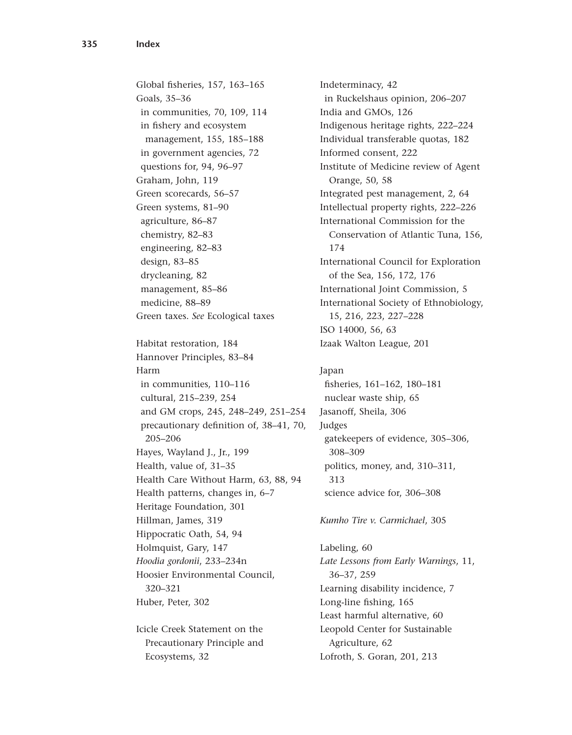Global fisheries, 157, 163–165 Goals, 35–36 in communities, 70, 109, 114 in fishery and ecosystem management, 155, 185–188 in government agencies, 72 questions for, 94, 96–97 Graham, John, 119 Green scorecards, 56–57 Green systems, 81–90 agriculture, 86–87 chemistry, 82–83 engineering, 82–83 design, 83–85 drycleaning, 82 management, 85–86 medicine, 88–89 Green taxes. *See* Ecological taxes Habitat restoration, 184 Hannover Principles, 83–84 Harm in communities, 110–116 cultural, 215–239, 254 and GM crops, 245, 248–249, 251–254 precautionary definition of, 38–41, 70, 205–206 Hayes, Wayland J., Jr., 199 Health, value of, 31–35 Health Care Without Harm, 63, 88, 94 Health patterns, changes in, 6–7 Heritage Foundation, 301 Hillman, James, 319 Hippocratic Oath, 54, 94 Holmquist, Gary, 147 *Hoodia gordonii*, 233–234n Hoosier Environmental Council, 320–321 Huber, Peter, 302

Icicle Creek Statement on the Precautionary Principle and Ecosystems, 32

Indeterminacy, 42 in Ruckelshaus opinion, 206–207 India and GMOs, 126 Indigenous heritage rights, 222–224 Individual transferable quotas, 182 Informed consent, 222 Institute of Medicine review of Agent Orange, 50, 58 Integrated pest management, 2, 64 Intellectual property rights, 222–226 International Commission for the Conservation of Atlantic Tuna, 156, 174 International Council for Exploration of the Sea, 156, 172, 176 International Joint Commission, 5 International Society of Ethnobiology, 15, 216, 223, 227–228 ISO 14000, 56, 63 Izaak Walton League, 201

## Japan fisheries, 161–162, 180–181 nuclear waste ship, 65 Jasanoff, Sheila, 306 Judges gatekeepers of evidence, 305–306, 308–309 politics, money, and, 310–311, 313

science advice for, 306–308

## *Kumho Tire v. Carmichael*, 305

Labeling, 60 *Late Lessons from Early Warnings*, 11, 36–37, 259 Learning disability incidence, 7 Long-line fishing, 165 Least harmful alternative, 60 Leopold Center for Sustainable Agriculture, 62 Lofroth, S. Goran, 201, 213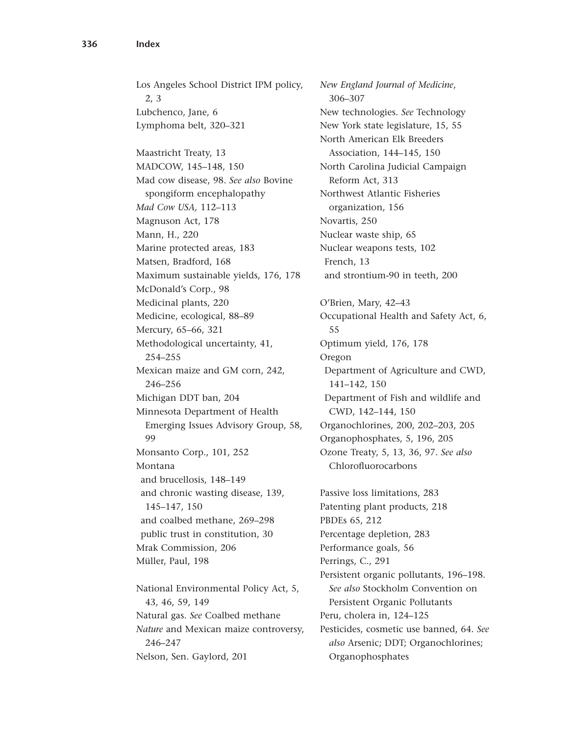Los Angeles School District IPM policy, 2, 3 Lubchenco, Jane, 6 Lymphoma belt, 320–321 Maastricht Treaty, 13 MADCOW, 145–148, 150 Mad cow disease, 98. *See also* Bovine spongiform encephalopathy *Mad Cow USA,* 112–113 Magnuson Act, 178 Mann, H., 220 Marine protected areas, 183 Matsen, Bradford, 168 Maximum sustainable yields, 176, 178 McDonald's Corp., 98 Medicinal plants, 220 Medicine, ecological, 88–89 Mercury, 65–66, 321 Methodological uncertainty, 41, 254–255 Mexican maize and GM corn, 242, 246–256 Michigan DDT ban, 204 Minnesota Department of Health Emerging Issues Advisory Group, 58, 99 Monsanto Corp., 101, 252 Montana and brucellosis, 148–149 and chronic wasting disease, 139, 145–147, 150 and coalbed methane, 269–298 public trust in constitution, 30 Mrak Commission, 206 Müller, Paul, 198 National Environmental Policy Act, 5, 43, 46, 59, 149 Natural gas. *See* Coalbed methane *Nature* and Mexican maize controversy, 246–247 Nelson, Sen. Gaylord, 201

*New England Journal of Medicine*, 306–307 New technologies. *See* Technology New York state legislature, 15, 55 North American Elk Breeders Association, 144–145, 150 North Carolina Judicial Campaign Reform Act, 313 Northwest Atlantic Fisheries organization, 156 Novartis, 250 Nuclear waste ship, 65 Nuclear weapons tests, 102 French, 13 and strontium-90 in teeth, 200 O'Brien, Mary, 42–43 Occupational Health and Safety Act, 6, 55 Optimum yield, 176, 178 Oregon Department of Agriculture and CWD, 141–142, 150 Department of Fish and wildlife and CWD, 142–144, 150 Organochlorines, 200, 202–203, 205 Organophosphates, 5, 196, 205 Ozone Treaty, 5, 13, 36, 97. *See also* Chlorofluorocarbons Passive loss limitations, 283 Patenting plant products, 218 PBDEs 65, 212 Percentage depletion, 283 Performance goals, 56 Perrings, C., 291 Persistent organic pollutants, 196–198. *See also* Stockholm Convention on Persistent Organic Pollutants Peru, cholera in, 124–125 Pesticides, cosmetic use banned, 64. *See also* Arsenic; DDT; Organochlorines; Organophosphates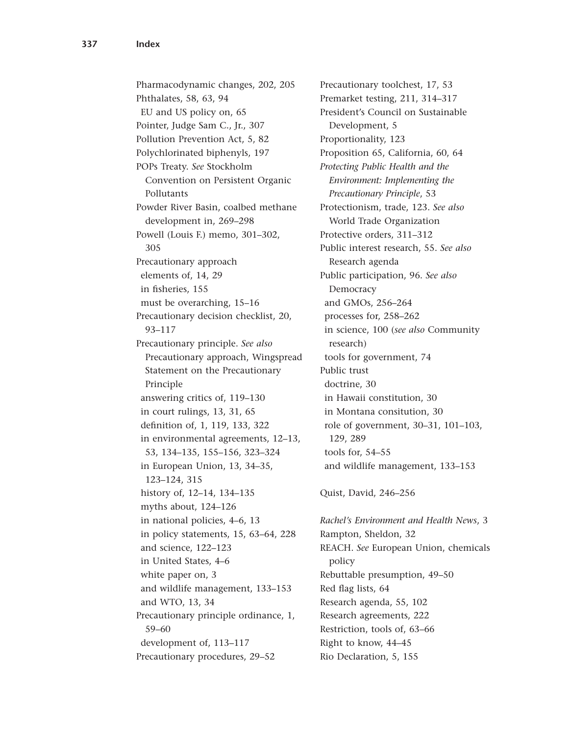Pharmacodynamic changes, 202, 205 Phthalates, 58, 63, 94 EU and US policy on, 65 Pointer, Judge Sam C., Jr., 307 Pollution Prevention Act, 5, 82 Polychlorinated biphenyls, 197 POPs Treaty. *See* Stockholm Convention on Persistent Organic Pollutants Powder River Basin, coalbed methane development in, 269–298 Powell (Louis F.) memo, 301–302, 305 Precautionary approach elements of, 14, 29 in fisheries, 155 must be overarching, 15–16 Precautionary decision checklist, 20, 93–117 Precautionary principle. *See also* Precautionary approach, Wingspread Statement on the Precautionary Principle answering critics of, 119–130 in court rulings, 13, 31, 65 definition of, 1, 119, 133, 322 in environmental agreements, 12–13, 53, 134–135, 155–156, 323–324 in European Union, 13, 34–35, 123–124, 315 history of, 12–14, 134–135 myths about, 124–126 in national policies, 4–6, 13 in policy statements, 15, 63–64, 228 and science, 122–123 in United States, 4–6 white paper on, 3 and wildlife management, 133–153 and WTO, 13, 34 Precautionary principle ordinance, 1, 59–60 development of, 113–117 Precautionary procedures, 29–52

Precautionary toolchest, 17, 53 Premarket testing, 211, 314–317 President's Council on Sustainable Development, 5 Proportionality, 123 Proposition 65, California, 60, 64 *Protecting Public Health and the Environment: Implementing the Precautionary Principle*, 53 Protectionism, trade, 123. *See also* World Trade Organization Protective orders, 311–312 Public interest research, 55. *See also* Research agenda Public participation, 96. *See also* Democracy and GMOs, 256–264 processes for, 258–262 in science, 100 (*see also* Community research) tools for government, 74 Public trust doctrine, 30 in Hawaii constitution, 30 in Montana consitution, 30 role of government, 30–31, 101–103, 129, 289 tools for, 54–55 and wildlife management, 133–153

Quist, David, 246–256

*Rachel's Environment and Health News*, 3 Rampton, Sheldon, 32 REACH. *See* European Union, chemicals policy Rebuttable presumption, 49–50 Red flag lists, 64 Research agenda, 55, 102 Research agreements, 222 Restriction, tools of, 63–66 Right to know, 44–45 Rio Declaration, 5, 155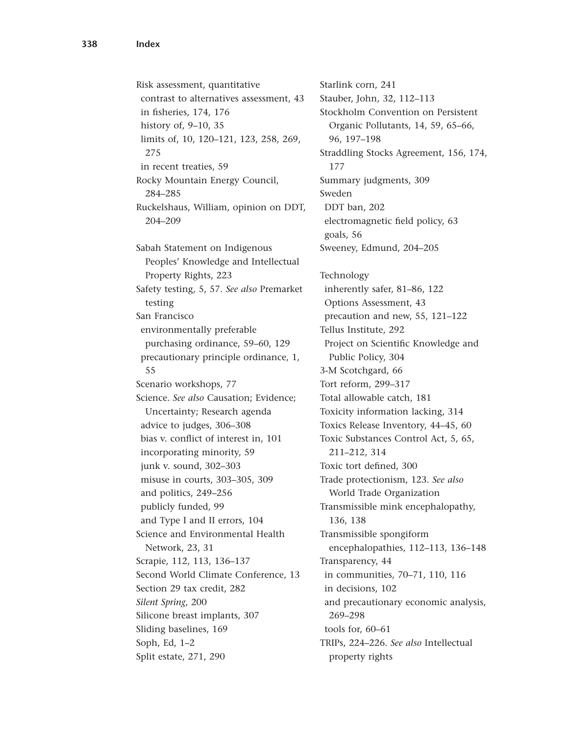Risk assessment, quantitative contrast to alternatives assessment, 43 in fisheries, 174, 176 history of, 9–10, 35 limits of, 10, 120–121, 123, 258, 269, 275 in recent treaties, 59 Rocky Mountain Energy Council, 284–285 Ruckelshaus, William, opinion on DDT, 204–209 Sabah Statement on Indigenous Peoples' Knowledge and Intellectual Property Rights, 223 Safety testing, 5, 57. *See also* Premarket testing San Francisco environmentally preferable purchasing ordinance, 59–60, 129 precautionary principle ordinance, 1, 55 Scenario workshops, 77 Science. *See also* Causation; Evidence; Uncertainty; Research agenda advice to judges, 306–308 bias v. conflict of interest in, 101 incorporating minority, 59 junk v. sound, 302–303 misuse in courts, 303–305, 309 and politics, 249–256 publicly funded, 99 and Type I and II errors, 104 Science and Environmental Health Network, 23, 31 Scrapie, 112, 113, 136–137 Second World Climate Conference, 13 Section 29 tax credit, 282 *Silent Spring*, 200 Silicone breast implants, 307 Sliding baselines, 169 Soph, Ed, 1–2 Split estate, 271, 290

Starlink corn, 241 Stauber, John, 32, 112–113 Stockholm Convention on Persistent Organic Pollutants, 14, 59, 65–66, 96, 197–198 Straddling Stocks Agreement, 156, 174, 177 Summary judgments, 309 Sweden DDT ban, 202 electromagnetic field policy, 63 goals, 56 Sweeney, Edmund, 204–205 Technology inherently safer, 81–86, 122 Options Assessment, 43 precaution and new, 55, 121–122 Tellus Institute, 292 Project on Scientific Knowledge and Public Policy, 304 3-M Scotchgard, 66 Tort reform, 299–317 Total allowable catch, 181 Toxicity information lacking, 314 Toxics Release Inventory, 44–45, 60 Toxic Substances Control Act, 5, 65, 211–212, 314 Toxic tort defined, 300 Trade protectionism, 123. *See also* World Trade Organization Transmissible mink encephalopathy, 136, 138 Transmissible spongiform encephalopathies, 112–113, 136–148 Transparency, 44 in communities, 70–71, 110, 116 in decisions, 102 and precautionary economic analysis, 269–298 tools for, 60–61 TRIPs, 224–226. *See also* Intellectual property rights